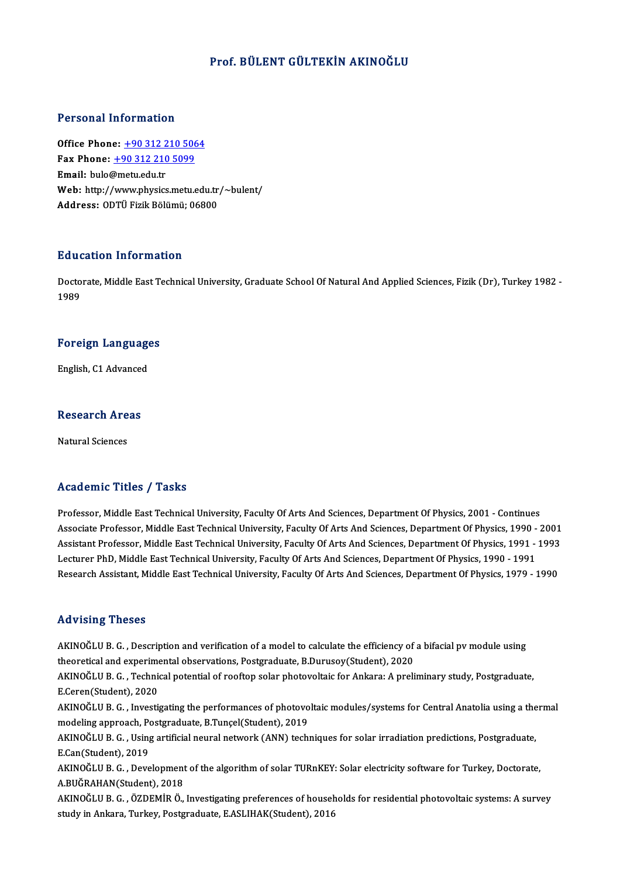### Prof. BÜLENT GÜLTEKİN AKINOĞLU

### Personal Information

**Personal Information<br>Office Phone: +90 312 210 5064<br>Fax Phone: +90 312 210 5000** Fax Phone: <u>+90 312 210 506</u><br>Fax Phone: <u>+90 312 210 5099</u><br>Fmail: buls@metu.edu.tr Office Phone: <u>+90 312 2</u><br>Fax Phone: <u>+90 312 210</u><br>Email: bulo@metu.edu.tr Fax Phone: <u>+90 312 210 5099</u><br>Email: bulo@metu.edu.tr<br>Web: http:/[/www.physics.metu.](tel:+90 312 210 5099)[ed](tel:+90 312 210 5064)u.tr/~bulent/<br>Addressy OPT<sup>II</sup> Firik Pölümü: 06800 **Email:** bulo@metu.edu.tr<br>Web: http://www.physics.metu.edu.tr<sub>.</sub><br>Address: ODTÜ Fizik Bölümü; 06800

### Education Information

**Education Information**<br>Doctorate, Middle East Technical University, Graduate School Of Natural And Applied Sciences, Fizik (Dr), Turkey 1982 -<br>1989 naat<br>Docto<br>1989

# 1<sup>989</sup><br>Foreign Languages F<mark>oreign Languag</mark>e<br>English, C1 Advanced

# engusn, C1 Advanced<br>Research Areas <mark>Research Are</mark><br>Natural Sciences

# Natural Sciences<br>Academic Titles / Tasks

Professor, Middle East Technical University, Faculty Of Arts And Sciences, Department Of Physics, 2001 - Continues Associate Article 7 Tubate<br>Professor, Middle East Technical University, Faculty Of Arts And Sciences, Department Of Physics, 2001 - Continues<br>Associate Professor, Middle East Technical University, Faculty Of Arts And Scien Professor, Middle East Technical University, Faculty Of Arts And Sciences, Department Of Physics, 2001 - Continues<br>Associate Professor, Middle East Technical University, Faculty Of Arts And Sciences, Department Of Physics, Associate Professor, Middle East Technical University, Faculty Of Arts And Sciences, Department Of Physics, 1990<br>Assistant Professor, Middle East Technical University, Faculty Of Arts And Sciences, Department Of Physics, 1 Assistant Professor, Middle East Technical University, Faculty Of Arts And Sciences, Department Of Physics, 1991 - 1993<br>Lecturer PhD, Middle East Technical University, Faculty Of Arts And Sciences, Department Of Physics, 1

### Advising Theses

Advising Theses<br>AKINOĞLU B. G. , Description and verification of a model to calculate the efficiency of a bifacial pv module using<br>theoretical and experimental ebservations. Bestereduate, B Durusey(Student), 2020. THEORIS TRESES<br>AKINOĞLU B. G. , Description and verification of a model to calculate the efficiency of<br>theoretical and experimental observations, Postgraduate, B.Durusoy(Student), 2020<br>AKINOĞLU B. G. -Technical potential o AKINOĞLU B. G. , Description and verification of a model to calculate the efficiency of a bifacial pv module using<br>theoretical and experimental observations, Postgraduate, B.Durusoy(Student), 2020<br>AKINOĞLU B. G. , Technica

theoretical and experime<br>AKINOĞLU B. G. , Technic<br>E.Ceren(Student), 2020<br>AKINOĞLU B. G. , Investi AKINOĞLU B. G. , Technical potential of rooftop solar photovoltaic for Ankara: A preliminary study, Postgraduate,<br>E.Ceren(Student), 2020<br>AKINOĞLU B. G. , Investigating the performances of photovoltaic modules/systems for C

E.Ceren(Student), 2020<br>AKINOĞLU B. G. , Investigating the performances of photovo<br>modeling approach, Postgraduate, B.Tunçel(Student), 2019<br>AKINOĞLU B. G. , Heing ertificial neural network (ANN), tech AKINOĞLU B. G. , Investigating the performances of photovoltaic modules/systems for Central Anatolia using a thermal<br>modeling approach, Postgraduate, B.Tunçel(Student), 2019<br>AKINOĞLU B. G. , Using artificial neural network

modeling approach, Po<br>AKINOĞLU B. G. , Using<br>E.Can(Student), 2019<br>AKINOĞLU B. G. , Dava AKINOĞLU B. G. , Using artificial neural network (ANN) techniques for solar irradiation predictions, Postgraduate,<br>E.Can(Student), 2019<br>AKINOĞLU B. G. , Development of the algorithm of solar TURnKEY: Solar electricity soft

E.Can(Student), 2019<br>AKINOĞLU B. G. , Development<br>A.BUĞRAHAN(Student), 2018<br>AKINOĞLU B. C., ÖZDEMİR Ö AKINOĞLU B. G. , Development of the algorithm of solar TURnKEY: Solar electricity software for Turkey, Doctorate,<br>A.BUĞRAHAN(Student), 2018<br>AKINOĞLU B. G. , ÖZDEMİR Ö., Investigating preferences of households for residenti

A.BUĞRAHAN(Student), 2018<br>AKINOĞLU B. G. , ÖZDEMİR Ö., Investigating preferences of housel<br>study in Ankara, Turkey, Postgraduate, E.ASLIHAK(Student), 2016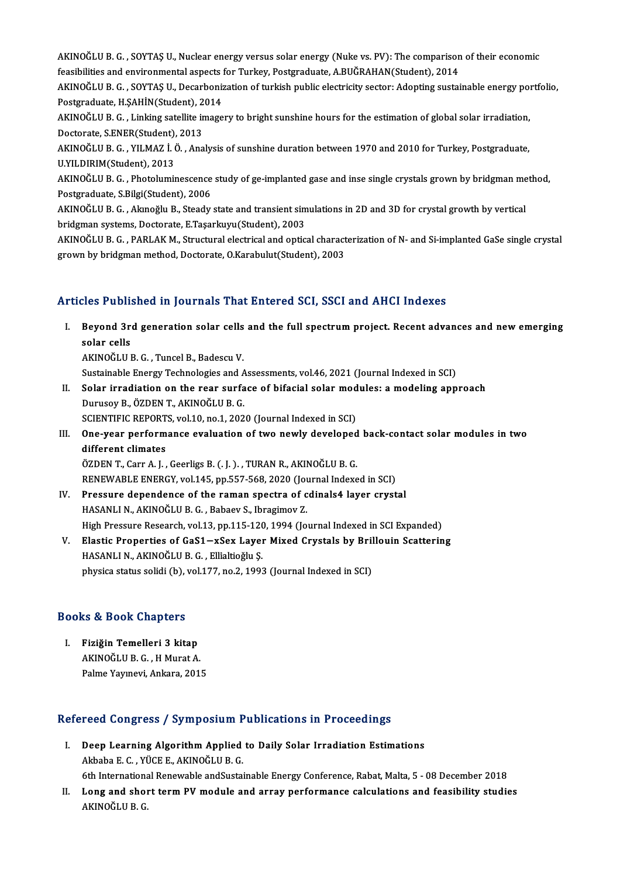AKINOĞLU B. G. , SOYTAŞ U., Nuclear energy versus solar energy (Nuke vs. PV): The comparison of their economic<br>foasibilities and environmental senests for Turkey, Bostanoduate, A BUČRAHAN(Student), 2014 AKINOĞLU B. G. , SOYTAŞ U., Nuclear energy versus solar energy (Nuke vs. PV): The comparison<br>feasibilities and environmental aspects for Turkey, Postgraduate, A.BUĞRAHAN(Student), 2014<br>AKINOĞLU B. G., SOYTAS II. Deserbeniz AKINOĞLU B. G. , SOYTAŞ U., Nuclear energy versus solar energy (Nuke vs. PV): The comparison of their economic<br>feasibilities and environmental aspects for Turkey, Postgraduate, A.BUĞRAHAN(Student), 2014<br>AKINOĞLU B. G. , SO

feasibilities and environmental aspects i<br>AKINOĞLU B. G. , SOYTAŞ U., Decarboniz<br>Postgraduate, H.ŞAHİN(Student), 2014<br>AKINOĞLU B. G. , Linking satellite image AKINOĞLU B. G. , SOYTAŞ U., Decarbonization of turkish public electricity sector: Adopting sustainable energy pol<br>Postgraduate, H.ŞAHİN(Student), 2014<br>AKINOĞLU B. G. , Linking satellite imagery to bright sunshine hours for

Postgraduate, H.ŞAHİN(Student), 2014<br>AKINOĞLU B. G. , Linking satellite imagery to bright sunshine hours for the estimation of global solar irradiation,<br>Doctorate, S.ENER(Student), 2013 AKINOĞLU B. G. , Linking satellite imagery to bright sunshine hours for the estimation of global solar irradiation,<br>Doctorate, S.ENER(Student), 2013<br>AKINOĞLU B. G. , YILMAZ İ. Ö. , Analysis of sunshine duration between 197

Doctorate, S.ENER(Student),<br>AKINOĞLU B. G. , YILMAZ İ. (<br>U.YILDIRIM(Student), 2013<br>AKINOĞLU B. G. , Phatalumiy AKINOĞLU B. G. , YILMAZ İ. Ö. , Analysis of sunshine duration between 1970 and 2010 for Turkey, Postgraduate,<br>U.YILDIRIM(Student), 2013<br>AKINOĞLU B. G. , Photoluminescence study of ge-implanted gase and inse single crystals

U.YILDIRIM(Student), 2013<br>AKINOĞLU B. G. , Photoluminescence<br>Postgraduate, S.Bilgi(Student), 2006<br>AKINOĞLU B. G., Almoğlu B. Steady AKINOĞLU B. G. , Photoluminescence study of ge-implanted gase and inse single crystals grown by bridgman me<br>Postgraduate, S.Bilgi(Student), 2006<br>AKINOĞLU B. G. , Akınoğlu B., Steady state and transient simulations in 2D an

Postgraduate, S.Bilgi(Student), 2006<br>AKINOĞLU B. G. , Akınoğlu B., Steady state and transient simulations in 2D and 3D for crystal growth by vertical<br>bridgman systems, Doctorate, E.Taşarkuyu(Student), 2003

AKINOĞLU B. G., PARLAK M., Structural electrical and optical characterization of N- and Si-implanted GaSe single crystal grown by bridgman method, Doctorate, O.Karabulut(Student), 2003

### Articles Published in Journals That Entered SCI, SSCI and AHCI Indexes

rticles Published in Journals That Entered SCI, SSCI and AHCI Indexes<br>I. Beyond 3rd generation solar cells and the full spectrum project. Recent advances and new emerging<br>solar salls sies i dom<br>Beyond 3r<br>solar cells<br>ARINOČULI Beyond 3rd generation solar cells<br>solar cells<br>AKINOĞLU B. G. , Tuncel B., Badescu V.<br>Sustainable Energy Technologies and A solar cells<br>AKINOĞLU B. G. , Tuncel B., Badescu V.<br>Sustainable Energy Technologies and Assessments, vol.46, 2021 (Journal Indexed in SCI)

AKINOĞLU B. G. , Tuncel B., Badescu V.<br>Sustainable Energy Technologies and Assessments, vol.46, 2021 (Journal Indexed in SCI)<br>II. Solar irradiation on the rear surface of bifacial solar modules: a modeling approach<br>Durysov Sustainable Energy Technologies and A<br>Solar irradiation on the rear surfa<br>Durusoy B., ÖZDEN T., AKINOĞLU B. G.<br>SCIENTIEIC PEPOPTS vol 10 no 1 202 Durusoy B., ÖZDEN T., AKINOĞLU B. G.<br>SCIENTIFIC REPORTS, vol.10, no.1, 2020 (Journal Indexed in SCI) Durusoy B., ÖZDEN T., AKINOĞLU B. G.<br>SCIENTIFIC REPORTS, vol.10, no.1, 2020 (Journal Indexed in SCI)<br>III. One-year performance evaluation of two newly developed back-contact solar modules in two<br>different elimetes

## SCIENTIFIC REPORT<br>One-year perform<br>different climates<br>ÖZDEN T. Corr A. L One-year performance evaluation of two newly developed<br>different climates<br>ÖZDEN T., Carr A. J. , Geerligs B. (. J. ). , TURAN R., AKINOĞLU B. G.<br>BENEWARLE ENERGY vol 145. np 557.569.2020 (Journal Indove

different climates<br>ÖZDEN T., Carr A. J. , Geerligs B. (. J. ). , TURAN R., AKINOĞLU B. G.<br>RENEWABLE ENERGY, vol.145, pp.557-568, 2020 (Journal Indexed in SCI) ÖZDEN T., Carr A. J., Geerligs B. (. J.)., TURAN R., AKINOĞLU B. G.<br>RENEWABLE ENERGY, vol.145, pp.557-568, 2020 (Journal Indexed in SCI)<br>IV. Pressure dependence of the raman spectra of cdinals4 layer crystal<br>HASANLLN, AKIN

- RENEWABLE ENERGY, vol.145, pp.557-568, 2020 (Journessure dependence of the raman spectra of c<br>HASANLIN., AKINOĞLUB.G., Babaev S., Ibragimov Z. HASANLI N., AKINOĞLU B. G. , Babaev S., Ibragimov Z.<br>High Pressure Research, vol.13, pp.115-120, 1994 (Journal Indexed in SCI Expanded) HASANLI N., AKINOĞLU B. G. , Babaev S., Ibragimov Z.<br>High Pressure Research, vol.13, pp.115-120, 1994 (Journal Indexed in SCI Expanded)<br>V. Elastic Properties of GaS1−xSex Layer Mixed Crystals by Brillouin Scattering<br>HASAN
- High Pressure Research, vol.13, pp.115-120<br>Elastic Properties of GaS1—xSex Layer<br>HASANLI N., AKINOĞLU B. G. , Ellialtioğlu Ş.<br>nhvsise etatus selidi (b), vol.177, po.2, 1003 Elastic Properties of GaS1—xSex Layer Mixed Crystals by Bril<br>HASANLI N., AKINOĞLU B. G. , Ellialtioğlu Ş.<br>physica status solidi (b), vol.177, no.2, 1993 (Journal Indexed in SCI) physica status solidi (b), vol.177, no.2, 1993 (Journal Indexed in SCI)<br>Books & Book Chapters

ooks & Book Chapters<br>I. Fiziğin Temelleri 3 kitap<br>AKINOČLU B.C. H.Murat A AS & DOOR GRAPESTS<br>Fiziğin Temelleri 3 kitap<br>AKINOĞLU B.G., H Murat A. Fiziğin Temelleri 3 kitap<br>AKINOĞLU B. G. , H Murat A.<br>Palme Yayınevi, Ankara, 2015

# Palme Yayınevi, Ankara, 2015<br>Refereed Congress / Symposium Publications in Proceedings

efereed Congress / Symposium Publications in Proceedings<br>I. Deep Learning Algorithm Applied to Daily Solar Irradiation Estimations<br>Althobe E.C., VÜCE E. AKINOČLU B.C. Akbaba E.C., YÜCE E., AKINOĞLU B. G.<br>Akbaba E. C. , YÜCE E., AKINOĞLU B. G.<br>Eth International Benewable and Sustai 6th InternationalRenewable andSustainableEnergyConference,Rabat,Malta,5 -08December 2018

Akbaba E. C. , YÜCE E., AKINOĞLU B. G.<br>6th International Renewable andSustainable Energy Conference, Rabat, Malta, 5 - 08 December 2018<br>II. Long and short term PV module and array performance calculations and feasibili 6th Internationa<br>Lon<mark>g and sho</mark>1<br>AKINOĞLU B. G.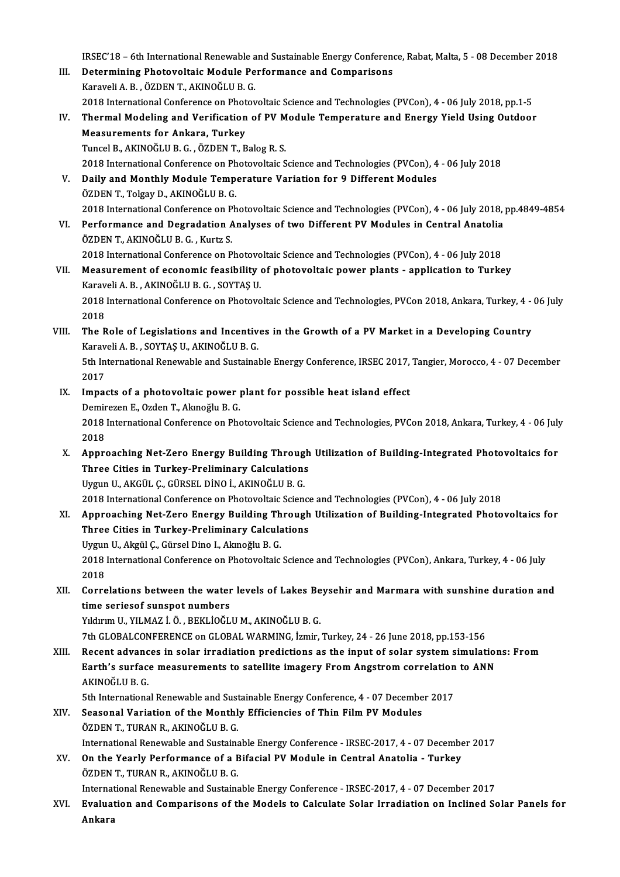IRSEC'18 - 6th International Renewable and Sustainable Energy Conference, Rabat, Malta, 5 - 08 December 2018

- III. Determining Photovoltaic Module Performance and Comparisons KaraveliA.B. ,ÖZDENT.,AKINOĞLUB.G. 2018 International Conference on Photovoltaic Science and Technologies (PVCon), 4 - 06 July 2018, pp.1-5 Karaveli A. B., ÖZDEN T., AKINOĞLU B. G.<br>2018 International Conference on Photovoltaic Science and Technologies (PVCon), 4 - 06 July 2018, pp.1-5<br>IV. Thermal Modeling and Verification of PV Module Temperature and Energy
- 2018 International Conference on Phot<br>Thermal Modeling and Verification<br>Measurements for Ankara, Turkey<br>Turcel B. AKINOČLU B.C., ÖZDEN T. B Thermal Modeling and Verification of PV M<br>Measurements for Ankara, Turkey<br>Tuncel B., AKINOĞLU B. G. , ÖZDEN T., Balog R. S.<br>2018 International Conference en Photovoltais S Measurements for Ankara, Turkey<br>2018 International Conference on Photovoltaic Science and Technologies (PVCon), 4 - 06 July 2018<br>2018 International Conference on Photovoltaic Science and Technologies (PVCon), 4 - 06 July 2
	-
- V. Daily and Monthly Module Temperature Variation for 9 Different Modules ÖZDEN T., Tolgay D., AKINOĞLU B. G. Daily and Monthly Module Temperature Variation for 9 Different Modules<br>ÖZDEN T., Tolgay D., AKINOĞLU B. G.<br>2018 International Conference on Photovoltaic Science and Technologies (PVCon), 4 - 06 July 2018, pp.4849-4854<br>Perf
- VI. Performance and Degradation Analyses of two Different PV Modules in Central Anatolia 2018 International Conference on P<br>Performance and Degradation A<br>ÖZDEN T., AKINOĞLU B. G. , Kurtz S. Performance and Degradation Analyses of two Different PV Modules in Central Anatolia<br>ÖZDEN T., AKINOĞLU B. G. , Kurtz S.<br>2018 International Conference on Photovoltaic Science and Technologies (PVCon), 4 - 06 July 2018<br>Meas

VII. Measurement of economic feasibility of photovoltaic power plants - application to Turkey 2018 International Conference on Photovo<br>Measurement of economic feasibility<br>Karaveli A. B. , AKINOĞLU B. G. , SOYTAŞ U.<br>2018 International Conference on Photovo 2018 International Conference on Photovoltaic Science and Technologies, PVCon 2018, Ankara, Turkey, 4 - 06 July<br>2018 Karaveli A. B., AKINOĞLU B. G., SOYTAŞ U.

2018 International Conference on Photovoltaic Science and Technologies, PVCon 2018, Ankara, Turkey, 4 -<br>2018<br>VIII. The Role of Legislations and Incentives in the Growth of a PV Market in a Developing Country<br>Karaveli A B S 2018<br>The Role of Legislations and Incentiv<br>Karaveli A. B. , SOYTAŞ U., AKINOĞLU B. G.<br>Eth International Banevrable and Sustainel The Role of Legislations and Incentives in the Growth of a PV Market in a Developing Country<br>Karaveli A. B. , SOYTAŞ U., AKINOĞLU B. G.<br>5th International Renewable and Sustainable Energy Conference, IRSEC 2017, Tangier, Mo

Karaveli A. B. , SOYTAŞ U., AKINOĞLU B. G.<br>5th International Renewable and Sustainable Energy Conference, IRSEC 2017, Tangier, Morocco, 4 - 07 December<br>2017 5th International Renewable and Sustainable Energy Conference, IRSEC 2017,<br>2017<br>IX. Impacts of a photovoltaic power plant for possible heat island effect<br>Domington E. Orden T. Almoğlu B. C

- 2017<br>I<mark>mpacts of a photovoltaic power</mark><br>Demirezen E., Ozden T., Akınoğlu B. G.<br>2018 International Conference en Pha 2018 International Conference on Photovoltaic Science and Technologies, PVCon 2018, Ankara, Turkey, 4 - 06 July<br>2018 Demirezen E., Ozden T., Akınoğlu B. G. 2018 International Conference on Photovoltaic Science and Technologies, PVCon 2018, Ankara, Turkey, 4 - 06 July<br>2018<br>X. Approaching Net-Zero Energy Building Through Utilization of Building-Integrated Photovoltaics for<br>Thre
- 2018<br>Approaching Net-Zero Energy Building Through<br>Three Cities in Turkey-Preliminary Calculations<br>Urgun II, AKCÜL G CÜRSEL DİNO İ, AKINOČLU B G Three Cities in Turkey-Preliminary Calculations<br>Uygun U., AKGÜL Ç., GÜRSEL DİNO İ., AKINOĞLU B. G.

2018 International Conference on Photovoltaic Science and Technologies (PVCon), 4 - 06 July 2018

XI. Approaching Net-Zero Energy Building Through Utilization of Building-Integrated Photovoltaics for 2018 International Conference on Photovoltaic Science<br>Approaching Net-Zero Energy Building Through<br>Three Cities in Turkey-Preliminary Calculations<br>Urgun II, Algül C. Cürsel Dine L. Aluneğlu B. C. Approaching Net-Zero Energy Building Th<br>Three Cities in Turkey-Preliminary Calcula<br>Uygun U., Akgül Ç., Gürsel Dino I., Akınoğlu B. G.<br>2018 International Conference en Phateveltaje

Three Cities in Turkey-Preliminary Calculations<br>Uygun U., Akgül Ç., Gürsel Dino I., Akınoğlu B. G.<br>2018 International Conference on Photovoltaic Science and Technologies (PVCon), Ankara, Turkey, 4 - 06 July<br>2018 Uygun<br>2018<br>2018 2018 International Conference on Photovoltaic Science and Technologies (PVCon), Ankara, Turkey, 4 - 06 July<br>2018<br>XII. Correlations between the water levels of Lakes Beysehir and Marmara with sunshine duration and<br>time conj

2018<br>XII. Correlations between the water levels of Lakes Beysehir and Marmara with sunshine duration and<br>time seriesof sunspot numbers time seriesof sunspot numbers<br>Yıldırım U., YILMAZ İ. Ö. , BEKLİOĞLU M., AKINOĞLU B. G.<br>7th GLOBALCONFERENCE on GLOBAL WARMING, İzmir, Turkey, 24 - 26 June 2018, pp.153-156<br>Besent advances in selar irradistion predistions a

Yıldırım U., YILMAZ İ. Ö., BEKLİOĞLU M., AKINOĞLU B. G.

Yıldırım U., YILMAZ İ. Ö. , BEKLİOĞLU M., AKINOĞLU B. G.<br>7th GLOBALCONFERENCE on GLOBAL WARMING, İzmir, Turkey, 24 - 26 June 2018, pp.153-156<br>XIII. Recent advances in solar irradiation predictions as the input of solar 7th GLOBALCONFERENCE on GLOBAL WARMING, İzmir, Turkey, 24 - 26 June 2018, pp.153-156<br>Recent advances in solar irradiation predictions as the input of solar system simulation<br>Earth's surface measurements to satellite imager Recent advanc<br>Earth's surfac<br>AKINOĞLU B. G.<br>Eth Internatione Earth's surface measurements to satellite imagery From Angstrom correlation<br>AKINOĞLU B. G.<br>5th International Renewable and Sustainable Energy Conference, 4 - 07 December 2017<br>Seasonal Variation of the Monthly Efficiencies

- AKINOĞLU B. G.<br>5th International Renewable and Sustainable Energy Conference, 4 07 Decembe<br>XIV. Seasonal Variation of the Monthly Efficiencies of Thin Film PV Modules<br>ÖZDEN T. TURAN R. AKINOĞLU B. G 5th International Renewable and Sust<br>Seasonal Variation of the Monthl<br>ÖZDEN T., TURAN R., AKINOĞLU B. G.<br>International Benewable and Sustains ÖZDEN T., TURAN R., AKINOĞLU B. G.<br>International Renewable and Sustainable Energy Conference - IRSEC-2017, 4 - 07 December 2017 ÖZDEN T., TURAN R., AKINOĞLU B. G.<br>International Renewable and Sustainable Energy Conference - IRSEC-2017, 4 - 07 Decembe<br>XV. On the Yearly Performance of a Bifacial PV Module in Central Anatolia - Turkey<br>ÖZDEN T. TURAN B.
- International Renewable and Sustaina<br>**On the Yearly Performance of a E**<br>ÖZDEN T., TURAN R., AKINOĞLU B. G.<br>International Benewable and Sustaina On the Yearly Performance of a Bifacial PV Module in Central Anatolia - Turkey<br>ÖZDEN T., TURAN R., AKINOĞLU B. G.<br>International Renewable and Sustainable Energy Conference - IRSEC-2017, 4 - 07 December 2017<br>Evaluation and

ÖZDEN T., TURAN R., AKINOĞLU B. G.<br>International Renewable and Sustainable Energy Conference - IRSEC-2017, 4 - 07 December 2017<br>XVI. Evaluation and Comparisons of the Models to Calculate Solar Irradiation on Inclined S Internat<br><mark>Evalua</mark>t<br>Ankara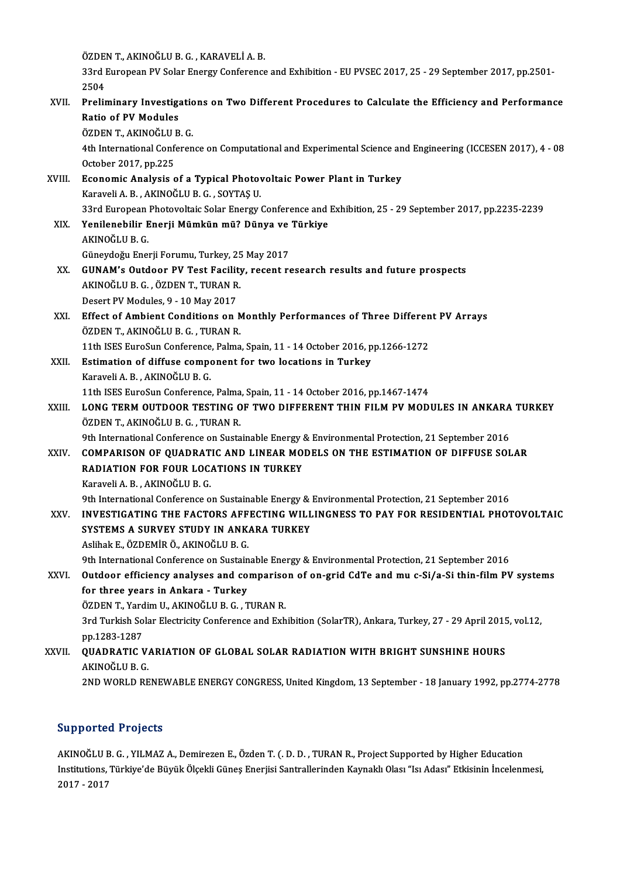ÖZDENT.,AKINOĞLUB.G. ,KARAVELİA.B.

ÖZDEN T., AKINOĞLU B. G. , KARAVELİ A. B.<br>33rd European PV Solar Energy Conference and Exhibition - EU PVSEC 2017, 25 - 29 September 2017, pp.2501-<br>2504 ÖZDE<br>33rd I<br>2504<br>Prelix 33rd European PV Solar Energy Conference and Exhibition - EU PVSEC 2017, 25 - 29 September 2017, pp.2501-<br>2504<br>XVII. Preliminary Investigations on Two Different Procedures to Calculate the Efficiency and Performance<br>Petia

## 2504<br>Preliminary Investiga<br>Ratio of PV Modules<br>ÖZDEN T. AKINOČLU P Preliminary Investigatic<br>Ratio of PV Modules<br>ÖZDEN T., AKINOĞLU B. G.<br>4th International Conferen

Ratio of PV Modules<br>ÖZDEN T., AKINOĞLU B. G.<br>4th International Conference on Computational and Experimental Science and Engineering (ICCESEN 2017), 4 - 08<br>Osteber 2017, pp.225 ÖZDEN T., AKINOĞLU I<br>4th International Confe<br>October 2017, pp.225<br>Feonomia Analysia s 4th International Conference on Computational and Experimental Science an<br>October 2017, pp.225<br>XVIII. Economic Analysis of a Typical Photovoltaic Power Plant in Turkey<br>Karayeli A. P. AKINOČLU B. G. SOYTAS U.

October 2017, pp.225<br>Economic Analysis of a Typical Photov<br>Karaveli A. B. , AKINOĞLU B. G. , SOYTAŞ U.<br><sup>22rd Euronoon Photovoltajs Solar Energy (</sup> Economic Analysis of a Typical Photovoltaic Power Plant in Turkey<br>Karaveli A. B. , AKINOĞLU B. G. , SOYTAŞ U.<br>33rd European Photovoltaic Solar Energy Conference and Exhibition, 25 - 29 September 2017, pp.2235-2239<br>Yonilone

- Karaveli A. B., AKINOĞLU B. G., SOYTAŞ U.<br>33rd European Photovoltaic Solar Energy Conference and<br>XIX. Yenilenebilir Enerji Mümkün mü? Dünya ve Türkiye<br>AKINOĞLU B. G. 33rd European<br>Yenilenebilir E<br>AKINOĞLU B. G.<br>Günevdeğu Ene Yenilenebilir Enerji Mümkün mü? Dünya ve<br>AKINOĞLU B. G.<br>Güneydoğu Enerji Forumu, Turkey, 25 May 2017<br>CUNAM's Outdoor BV Tost Easility, resent re
- AKINOĞLU B. G.<br>Güneydoğu Enerji Forumu, Turkey, 25 May 2017<br>XX. GUNAM's Outdoor PV Test Facility, recent research results and future prospects<br>AKINOĞLU B. G. ÖZDEN T. TURAN B. Güneydoğu Enerji Forumu, Turkey, 25<br>GUNAM's Outdoor PV Test Facility<br>AKINOĞLU B. G. , ÖZDEN T., TURAN R.<br>Desert BV Medules, 9, , 10 May 2017 GUNAM's Outdoor PV Test Facilit<br>AKINOĞLU B. G. , ÖZDEN T., TURAN R<br>Desert PV Modules, 9 - 10 May 2017<br>Fffect of Ambiont Conditions on l AKINOĞLU B. G. , ÖZDEN T., TURAN R.<br>Desert PV Modules, 9 - 10 May 2017<br>XXI. Effect of Ambient Conditions on Monthly Performances of Three Different PV Arrays<br>ÖZDEN T. AKINOĞLU B. G. TURAN B.
- Desert PV Modules, 9 10 May 2017<br>Effect of Ambient Conditions on N<br>ÖZDEN T., AKINOĞLU B. G. , TURAN R.<br>11th ISES EuroSun Conference Pelme Effect of Ambient Conditions on Monthly Performances of Three Differen<br>ÖZDEN T., AKINOĞLU B. G. , TURAN R.<br>11th ISES EuroSun Conference, Palma, Spain, 11 - 14 October 2016, pp.1266-1272<br>Estimation of diffuse sommanent for ÖZDEN T., AKINOĞLU B. G. , TURAN R.<br>11th ISES EuroSun Conference, Palma, Spain, 11 - 14 October 2016, p<br>XXII. Estimation of diffuse component for two locations in Turkey<br>Karayeli A. B. AKINOĞLU B. C
- 11th ISES EuroSun Conference<br>**Estimation of diffuse compony**<br>Karaveli A. B., AKINOĞLU B. G.<br>11th ISES EuroSun Conference Estimation of diffuse component for two locations in Turkey<br>Karaveli A. B., AKINOĞLU B. G.<br>11th ISES EuroSun Conference, Palma, Spain, 11 - 14 October 2016, pp.1467-1474<br>LONG TERM OUTDOOR TESTING OF TWO DIEEERENT THIN EU M

## Karaveli A. B. , AKINOĞLU B. G.<br>11th ISES EuroSun Conference, Palma, Spain, 11 - 14 October 2016, pp.1467-1474<br>XXIII. LONG TERM OUTDOOR TESTING OF TWO DIFFERENT THIN FILM PV MODULES IN ANKARA TURKEY<br>ÖZDEN T., AKINOĞLU 11th ISES EuroSun Conference, Palma<br>LONG TERM OUTDOOR TESTING O<br>ÖZDEN T., AKINOĞLU B. G. , TURAN R.<br>9th International Conference on Susta LONG TERM OUTDOOR TESTING OF TWO DIFFERENT THIN FILM PV MODULES IN ANKARA<br>ÖZDEN T., AKINOĞLU B. G. , TURAN R.<br>9th International Conference on Sustainable Energy & Environmental Protection, 21 September 2016<br>COMBARISON OF Q

## ÖZDEN T., AKINOĞLU B. G. , TURAN R.<br>9th International Conference on Sustainable Energy & Environmental Protection, 21 September 2016<br>XXIV. COMPARISON OF QUADRATIC AND LINEAR MODELS ON THE ESTIMATION OF DIFFUSE SOLAR<br>BA 9th International Conference on Sustainable Energy &<br>COMPARISON OF QUADRATIC AND LINEAR MO.<br>RADIATION FOR FOUR LOCATIONS IN TURKEY COMPARISON OF QUADRATIC AND LINEAR MODELS ON THE ESTIMATION OF DIFFUSE SOLAR RADIATION FOR FOUR LOCATIONS IN TURKEY<br>Karaveli A. B. , AKINOĞLU B. G. RADIATION FOR FOUR LOCATIONS IN TURKEY<br>Karaveli A. B. , AKINOĞLU B. G.<br>9th International Conference on Sustainable Energy & Environmental Protection, 21 September 2016<br>INVESTIC ATINC THE EACTORS AFFECTING WILLINGNESS TO BA

## Karaveli A. B. , AKINOĞLU B. G.<br>9th International Conference on Sustainable Energy & Environmental Protection, 21 September 2016<br>XXV. INVESTIGATING THE FACTORS AFFECTING WILLINGNESS TO PAY FOR RESIDENTIAL PHOTOVOLTAIC<br> 9th International Conference on Sustainable Energy &<br>INVESTIGATING THE FACTORS AFFECTING WILL<br>SYSTEMS A SURVEY STUDY IN ANKARA TURKEY INVESTIGATING THE FACTORS AFF<br>SYSTEMS A SURVEY STUDY IN ANK.<br>Aslihak E., ÖZDEMİR Ö., AKINOĞLU B. G.<br><sup>Oth Intonational Conference on Sustain</sup> SYSTEMS A SURVEY STUDY IN ANKARA TURKEY<br>Aslihak E., ÖZDEMİR Ö., AKINOĞLU B. G.<br>9th International Conference on Sustainable Energy & Environmental Protection, 21 September 2016<br>Outdoor officionay analyses and comporison of

## Aslihak E., ÖZDEMİR Ö., AKINOĞLU B. G.<br>9th International Conference on Sustainable Energy & Environmental Protection, 21 September 2016<br>XXVI. Outdoor efficiency analyses and comparison of on-grid CdTe and mu c-Si/a-Si 9th International Conference on Sustain<br>Outdoor efficiency analyses and co<br>for three years in Ankara - Turkey<br>ÖZDEN T. Vardim U. AKINOČLU B.C. T Outdoor efficiency analyses and comparison of on-grid CdTe and mu c-Si/a-Si thin-film PV systems<br>for three years in Ankara - Turkey<br>ÖZDEN T., Yardim U., AKINOĞLU B. G. , TURAN R.

for three years in Ankara - Turkey<br>ÖZDEN T., Yardim U., AKINOĞLU B. G. , TURAN R.<br>3rd Turkish Solar Electricity Conference and Exhibition (SolarTR), Ankara, Turkey, 27 - 29 April 2015, vol.12,<br>nn 1283 1287 ÖZDEN T., Yard<br>3rd Turkish So<br>pp.1283-1287<br>QUADBATIC V 3rd Turkish Solar Electricity Conference and Exhibition (SolarTR), Ankara, Turkey, 27 - 29 April 2015<br>pp.1283-1287<br>XXVII. QUADRATIC VARIATION OF GLOBAL SOLAR RADIATION WITH BRIGHT SUNSHINE HOURS

## pp.1283-1287<br><mark>QUADRATIC V.</mark><br>AKINOĞLU B. G.<br>2ND WORLD BE AKINOĞLU B. G.<br>2ND WORLD RENEWABLE ENERGY CONGRESS, United Kingdom, 13 September - 18 January 1992, pp.2774-2778

## Supported Projects

Supported Projects<br>AKINOĞLU B.G. , YILMAZ A., Demirezen E., Özden T. (. D. D. , TURAN R., Project Supported by Higher Education<br>Institutione Türkiye'de Büyük Ölsekli Cünes Enerijei Santrellerinden Kayneklı Olası "Isı Adası Institutions, Türkiye'de Büyük Ölçekli Güneş Enerjisi Santrallerinden Kaynaklı Olası "Isı Adası" Etkisinin İncelenmesi,<br>2017 - 2017 AKINOĞLU I<br>Institutions,<br>2017 - 2017